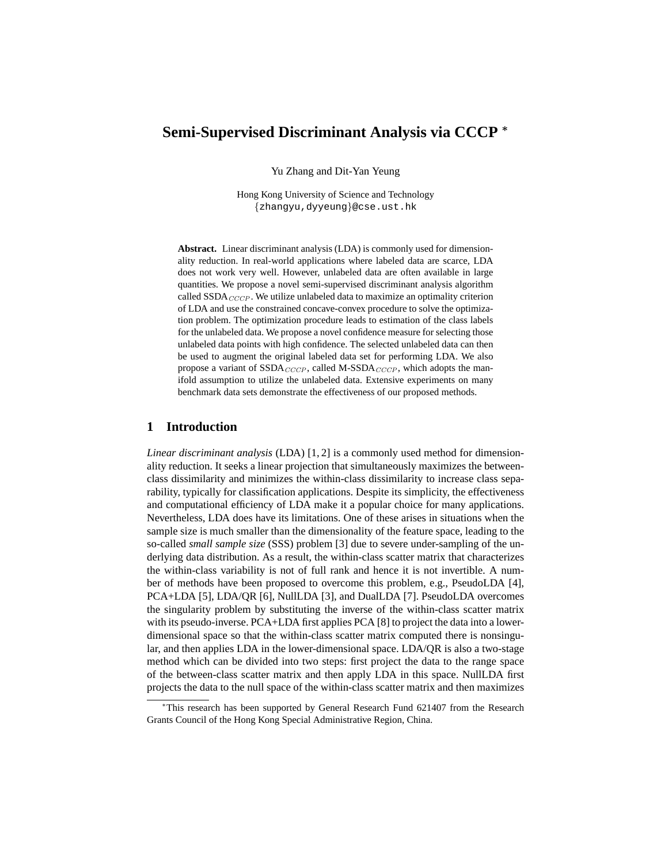# **Semi-Supervised Discriminant Analysis via CCCP** <sup>∗</sup>

Yu Zhang and Dit-Yan Yeung

Hong Kong University of Science and Technology {zhangyu,dyyeung}@cse.ust.hk

**Abstract.** Linear discriminant analysis (LDA) is commonly used for dimensionality reduction. In real-world applications where labeled data are scarce, LDA does not work very well. However, unlabeled data are often available in large quantities. We propose a novel semi-supervised discriminant analysis algorithm called  $SSDA_{CCCP}$ . We utilize unlabeled data to maximize an optimality criterion of LDA and use the constrained concave-convex procedure to solve the optimization problem. The optimization procedure leads to estimation of the class labels for the unlabeled data. We propose a novel confidence measure for selecting those unlabeled data points with high confidence. The selected unlabeled data can then be used to augment the original labeled data set for performing LDA. We also propose a variant of  $SSDA_{CCCP}$ , called M-SSDA $_{CCCP}$ , which adopts the manifold assumption to utilize the unlabeled data. Extensive experiments on many benchmark data sets demonstrate the effectiveness of our proposed methods.

## **1 Introduction**

*Linear discriminant analysis* (LDA) [1, 2] is a commonly used method for dimensionality reduction. It seeks a linear projection that simultaneously maximizes the betweenclass dissimilarity and minimizes the within-class dissimilarity to increase class separability, typically for classification applications. Despite its simplicity, the effectiveness and computational efficiency of LDA make it a popular choice for many applications. Nevertheless, LDA does have its limitations. One of these arises in situations when the sample size is much smaller than the dimensionality of the feature space, leading to the so-called *small sample size* (SSS) problem [3] due to severe under-sampling of the underlying data distribution. As a result, the within-class scatter matrix that characterizes the within-class variability is not of full rank and hence it is not invertible. A number of methods have been proposed to overcome this problem, e.g., PseudoLDA [4], PCA+LDA [5], LDA/QR [6], NullLDA [3], and DualLDA [7]. PseudoLDA overcomes the singularity problem by substituting the inverse of the within-class scatter matrix with its pseudo-inverse. PCA+LDA first applies PCA [8] to project the data into a lowerdimensional space so that the within-class scatter matrix computed there is nonsingular, and then applies LDA in the lower-dimensional space. LDA/QR is also a two-stage method which can be divided into two steps: first project the data to the range space of the between-class scatter matrix and then apply LDA in this space. NullLDA first projects the data to the null space of the within-class scatter matrix and then maximizes

<sup>∗</sup>This research has been supported by General Research Fund 621407 from the Research Grants Council of the Hong Kong Special Administrative Region, China.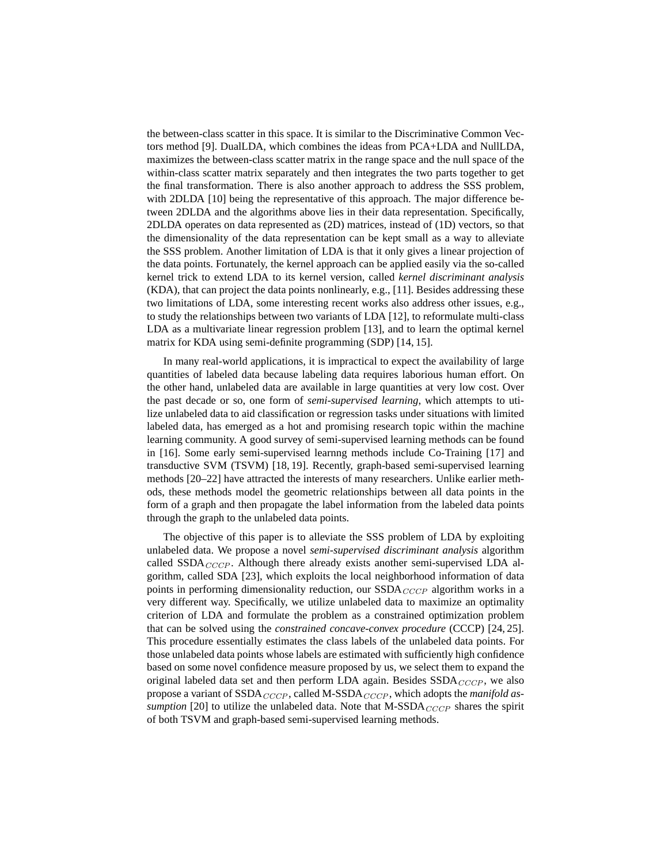the between-class scatter in this space. It is similar to the Discriminative Common Vectors method [9]. DualLDA, which combines the ideas from PCA+LDA and NullLDA, maximizes the between-class scatter matrix in the range space and the null space of the within-class scatter matrix separately and then integrates the two parts together to get the final transformation. There is also another approach to address the SSS problem, with 2DLDA [10] being the representative of this approach. The major difference between 2DLDA and the algorithms above lies in their data representation. Specifically, 2DLDA operates on data represented as (2D) matrices, instead of (1D) vectors, so that the dimensionality of the data representation can be kept small as a way to alleviate the SSS problem. Another limitation of LDA is that it only gives a linear projection of the data points. Fortunately, the kernel approach can be applied easily via the so-called kernel trick to extend LDA to its kernel version, called *kernel discriminant analysis* (KDA), that can project the data points nonlinearly, e.g., [11]. Besides addressing these two limitations of LDA, some interesting recent works also address other issues, e.g., to study the relationships between two variants of LDA [12], to reformulate multi-class LDA as a multivariate linear regression problem [13], and to learn the optimal kernel matrix for KDA using semi-definite programming (SDP) [14, 15].

In many real-world applications, it is impractical to expect the availability of large quantities of labeled data because labeling data requires laborious human effort. On the other hand, unlabeled data are available in large quantities at very low cost. Over the past decade or so, one form of *semi-supervised learning*, which attempts to utilize unlabeled data to aid classification or regression tasks under situations with limited labeled data, has emerged as a hot and promising research topic within the machine learning community. A good survey of semi-supervised learning methods can be found in [16]. Some early semi-supervised learnng methods include Co-Training [17] and transductive SVM (TSVM) [18, 19]. Recently, graph-based semi-supervised learning methods [20–22] have attracted the interests of many researchers. Unlike earlier methods, these methods model the geometric relationships between all data points in the form of a graph and then propagate the label information from the labeled data points through the graph to the unlabeled data points.

The objective of this paper is to alleviate the SSS problem of LDA by exploiting unlabeled data. We propose a novel *semi-supervised discriminant analysis* algorithm called  $SSDA_{CCCP}$ . Although there already exists another semi-supervised LDA algorithm, called SDA [23], which exploits the local neighborhood information of data points in performing dimensionality reduction, our  $SSDA_{CCCP}$  algorithm works in a very different way. Specifically, we utilize unlabeled data to maximize an optimality criterion of LDA and formulate the problem as a constrained optimization problem that can be solved using the *constrained concave-convex procedure* (CCCP) [24, 25]. This procedure essentially estimates the class labels of the unlabeled data points. For those unlabeled data points whose labels are estimated with sufficiently high confidence based on some novel confidence measure proposed by us, we select them to expand the original labeled data set and then perform LDA again. Besides  $SSDA_{CCCP}$ , we also propose a variant of  $SSDA_{CCCP}$ , called M- $SSDA_{CCCP}$ , which adopts the *manifold assumption* [20] to utilize the unlabeled data. Note that  $M{\text -}SSDA_{CCCP}$  shares the spirit of both TSVM and graph-based semi-supervised learning methods.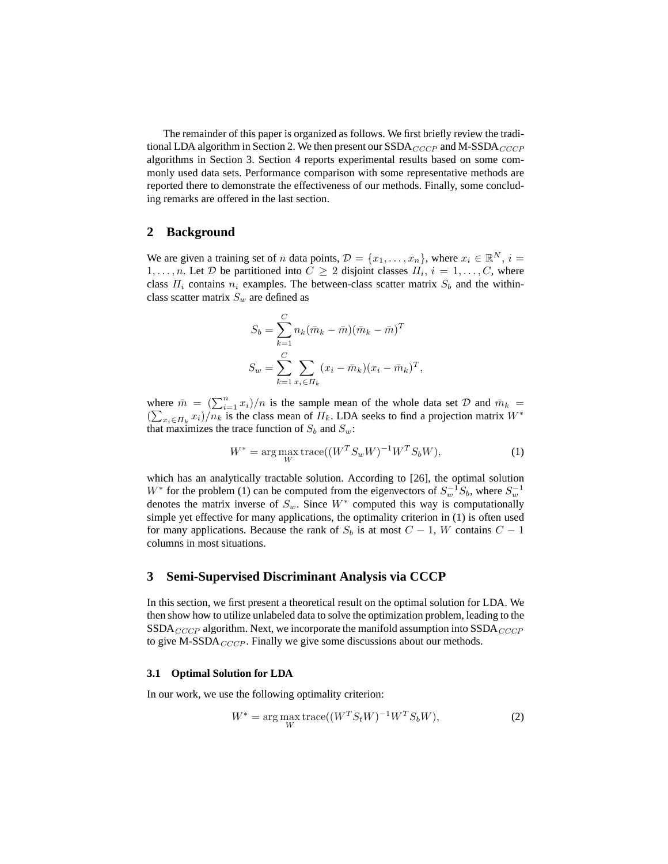The remainder of this paper is organized as follows. We first briefly review the traditional LDA algorithm in Section 2. We then present our  $SSDA_{CCCP}$  and M-SSDA $_{CCCP}$ algorithms in Section 3. Section 4 reports experimental results based on some commonly used data sets. Performance comparison with some representative methods are reported there to demonstrate the effectiveness of our methods. Finally, some concluding remarks are offered in the last section.

## **2 Background**

We are given a training set of *n* data points,  $\mathcal{D} = \{x_1, \ldots, x_n\}$ , where  $x_i \in \mathbb{R}^N$ ,  $i =$  $1, \ldots, n$ . Let  $D$  be partitioned into  $C \geq 2$  disjoint classes  $\Pi_i, i = 1, \ldots, C$ , where class  $\Pi_i$  contains  $n_i$  examples. The between-class scatter matrix  $S_b$  and the withinclass scatter matrix  $S_w$  are defined as

$$
S_b = \sum_{k=1}^{C} n_k (\bar{m}_k - \bar{m}) (\bar{m}_k - \bar{m})^T
$$
  

$$
S_w = \sum_{k=1}^{C} \sum_{x_i \in \Pi_k} (x_i - \bar{m}_k) (x_i - \bar{m}_k)^T,
$$

where  $\bar{m} = (\sum_{i=1}^{n} x_i)/n$  is the sample mean of the whole data set  $\mathcal{D}$  and  $\bar{m}_k =$  $(\sum_{x_i \in \Pi_k} x_i)/n_k$  is the class mean of  $\Pi_k$ . LDA seeks to find a projection matrix  $W^*$ that maximizes the trace function of  $S_b$  and  $S_w$ :

$$
W^* = \underset{W}{\text{arg max}} \operatorname{trace}((W^T S_w W)^{-1} W^T S_b W), \tag{1}
$$

which has an analytically tractable solution. According to [26], the optimal solution W<sup>\*</sup> for the problem (1) can be computed from the eigenvectors of  $S_w^{-1}S_b$ , where  $S_w^{-1}$ denotes the matrix inverse of  $S_w$ . Since  $W^*$  computed this way is computationally simple yet effective for many applications, the optimality criterion in (1) is often used for many applications. Because the rank of  $S_b$  is at most  $C - 1$ , W contains  $C - 1$ columns in most situations.

## **3 Semi-Supervised Discriminant Analysis via CCCP**

In this section, we first present a theoretical result on the optimal solution for LDA. We then show how to utilize unlabeled data to solve the optimization problem, leading to the  $SSDA_{CCCP}$  algorithm. Next, we incorporate the manifold assumption into  $SSDA_{CCCP}$ to give M-SSDA $_{CCCP}$ . Finally we give some discussions about our methods.

#### **3.1 Optimal Solution for LDA**

In our work, we use the following optimality criterion:

$$
W^* = \underset{W}{\text{arg max}} \operatorname{trace}((W^T S_t W)^{-1} W^T S_b W), \tag{2}
$$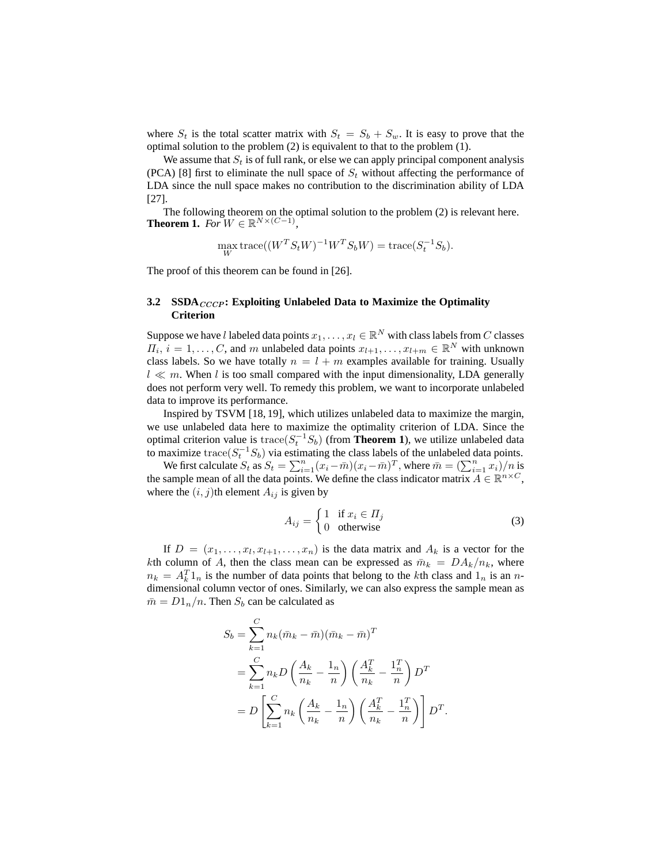where  $S_t$  is the total scatter matrix with  $S_t = S_b + S_w$ . It is easy to prove that the optimal solution to the problem (2) is equivalent to that to the problem (1).

We assume that  $S_t$  is of full rank, or else we can apply principal component analysis (PCA) [8] first to eliminate the null space of  $S_t$  without affecting the performance of LDA since the null space makes no contribution to the discrimination ability of LDA [27].

The following theorem on the optimal solution to the problem (2) is relevant here. **Theorem 1.** *For*  $W \in \mathbb{R}^{N \times (C-1)}$ *,* 

$$
\max_W \operatorname{trace}((W^T S_t W)^{-1} W^T S_b W) = \operatorname{trace}(S_t^{-1} S_b).
$$

The proof of this theorem can be found in [26].

## **3.2 SSDA**  $_{CCCP}$ : Exploiting Unlabeled Data to Maximize the Optimality **Criterion**

Suppose we have l labeled data points  $x_1, \ldots, x_l \in \mathbb{R}^N$  with class labels from  $C$  classes  $\overline{H_i}$ ,  $i = 1, \ldots, C$ , and m unlabeled data points  $x_{l+1}, \ldots, x_{l+m} \in \mathbb{R}^N$  with unknown class labels. So we have totally  $n = l + m$  examples available for training. Usually  $l \ll m$ . When l is too small compared with the input dimensionality, LDA generally does not perform very well. To remedy this problem, we want to incorporate unlabeled data to improve its performance.

Inspired by TSVM [18, 19], which utilizes unlabeled data to maximize the margin, we use unlabeled data here to maximize the optimality criterion of LDA. Since the optimal criterion value is  $trace(S_t^{-1}S_b)$  (from **Theorem 1**), we utilize unlabeled data to maximize trace( $S_t^{-1}S_b$ ) via estimating the class labels of the unlabeled data points.

We first calculate  $S_t$  as  $S_t = \sum_{i=1}^n (\tilde{x}_i - \bar{m})(x_i - \bar{m})^T$ , where  $\bar{m} = (\sum_{i=1}^n \tilde{x}_i)/n$  is the sample mean of all the data points. We define the class indicator matrix  $A \in \mathbb{R}^{n \times C}$ , where the  $(i, j)$ th element  $A_{ij}$  is given by

$$
A_{ij} = \begin{cases} 1 & \text{if } x_i \in \Pi_j \\ 0 & \text{otherwise} \end{cases}
$$
 (3)

If  $D = (x_1, \ldots, x_l, x_{l+1}, \ldots, x_n)$  is the data matrix and  $A_k$  is a vector for the kth column of A, then the class mean can be expressed as  $\bar{m}_k = D A_k/n_k$ , where  $n_k = A_k^T 1_n$  is the number of data points that belong to the kth class and  $1_n$  is an ndimensional column vector of ones. Similarly, we can also express the sample mean as  $\bar{m} = D1_n/n$ . Then  $S_b$  can be calculated as

$$
S_b = \sum_{k=1}^{C} n_k (\bar{m}_k - \bar{m})(\bar{m}_k - \bar{m})^T
$$
  
= 
$$
\sum_{k=1}^{C} n_k D \left(\frac{A_k}{n_k} - \frac{1_n}{n}\right) \left(\frac{A_k^T}{n_k} - \frac{1_n^T}{n}\right) D^T
$$
  
= 
$$
D \left[ \sum_{k=1}^{C} n_k \left(\frac{A_k}{n_k} - \frac{1_n}{n}\right) \left(\frac{A_k^T}{n_k} - \frac{1_n^T}{n}\right) \right] D^T.
$$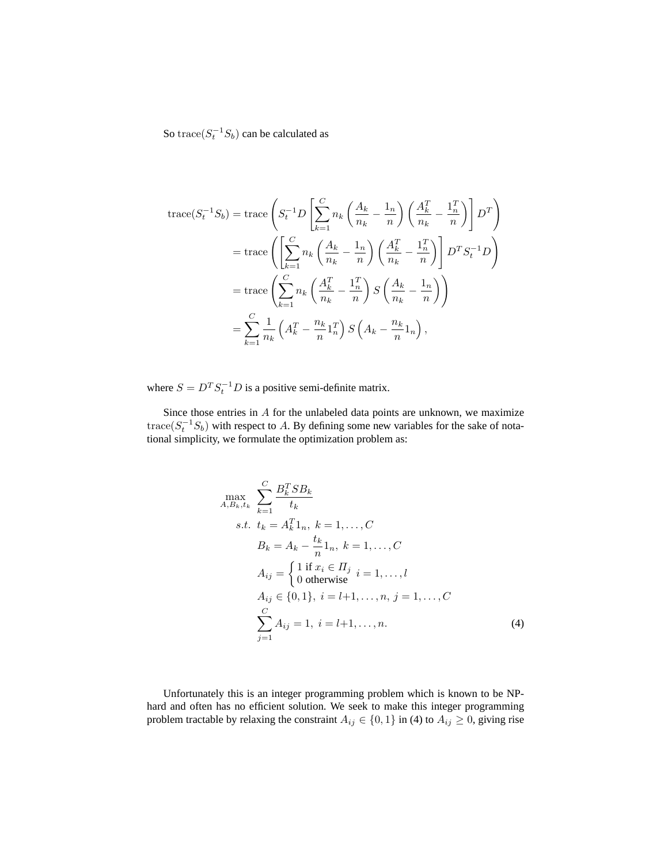So trace( $S_t^{-1}S_b$ ) can be calculated as

$$
\begin{split} \text{trace}(S_t^{-1}S_b) &= \text{trace}\left(S_t^{-1}D\left[\sum_{k=1}^C n_k \left(\frac{A_k}{n_k} - \frac{1_n}{n}\right) \left(\frac{A_k^T}{n_k} - \frac{1_n^T}{n}\right)\right]D^T\right) \\ &= \text{trace}\left(\left[\sum_{k=1}^C n_k \left(\frac{A_k}{n_k} - \frac{1_n}{n}\right) \left(\frac{A_k^T}{n_k} - \frac{1_n^T}{n}\right)\right]D^TS_t^{-1}D\right) \\ &= \text{trace}\left(\sum_{k=1}^C n_k \left(\frac{A_k^T}{n_k} - \frac{1_n^T}{n}\right)S\left(\frac{A_k}{n_k} - \frac{1_n}{n}\right)\right) \\ &= \sum_{k=1}^C \frac{1}{n_k} \left(A_k^T - \frac{n_k}{n}1_n^T\right)S\left(A_k - \frac{n_k}{n}1_n\right), \end{split}
$$

where  $S = D<sup>T</sup> S<sub>t</sub><sup>-1</sup> D$  is a positive semi-definite matrix.

Since those entries in A for the unlabeled data points are unknown, we maximize trace( $S_t^{-1}S_b$ ) with respect to A. By defining some new variables for the sake of notational simplicity, we formulate the optimization problem as:

$$
\max_{A,B_k,t_k} \sum_{k=1}^{C} \frac{B_k^T SB_k}{t_k}
$$
  
s.t.  $t_k = A_k^T 1_n, k = 1,..., C$   
 $B_k = A_k - \frac{t_k}{n} 1_n, k = 1,..., C$   
 $A_{ij} = \begin{cases} 1 \text{ if } x_i \in H_j \\ 0 \text{ otherwise} \end{cases} i = 1,..., l$   
 $A_{ij} \in \{0, 1\}, i = l+1,..., n, j = 1,..., C$   
 $\sum_{j=1}^{C} A_{ij} = 1, i = l+1,..., n.$  (4)

Unfortunately this is an integer programming problem which is known to be NPhard and often has no efficient solution. We seek to make this integer programming problem tractable by relaxing the constraint  $A_{ij} \in \{0, 1\}$  in (4) to  $A_{ij} \ge 0$ , giving rise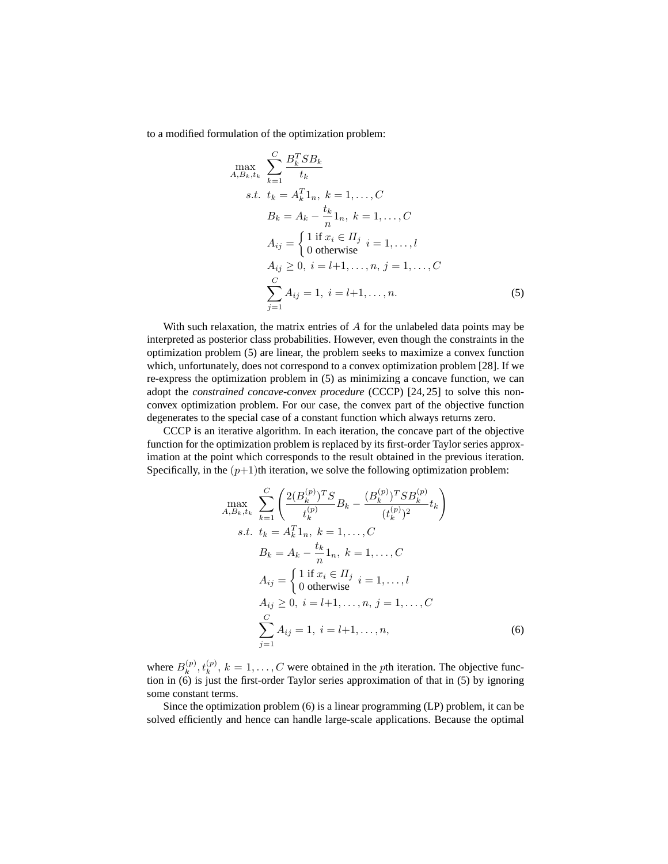to a modified formulation of the optimization problem:

$$
\max_{A,B_k,t_k} \sum_{k=1}^{C} \frac{B_k^T SB_k}{t_k}
$$
  
s.t.  $t_k = A_k^T 1_n, k = 1,..., C$   
 $B_k = A_k - \frac{t_k}{n} 1_n, k = 1,..., C$   
 $A_{ij} = \begin{cases} 1 \text{ if } x_i \in \Pi_j \\ 0 \text{ otherwise} \end{cases} i = 1,..., l$   
 $A_{ij} \ge 0, i = l+1,..., n, j = 1,..., C$   
 $\sum_{j=1}^{C} A_{ij} = 1, i = l+1,..., n.$  (5)

With such relaxation, the matrix entries of  $A$  for the unlabeled data points may be interpreted as posterior class probabilities. However, even though the constraints in the optimization problem (5) are linear, the problem seeks to maximize a convex function which, unfortunately, does not correspond to a convex optimization problem [28]. If we re-express the optimization problem in (5) as minimizing a concave function, we can adopt the *constrained concave-convex procedure* (CCCP) [24, 25] to solve this nonconvex optimization problem. For our case, the convex part of the objective function degenerates to the special case of a constant function which always returns zero.

CCCP is an iterative algorithm. In each iteration, the concave part of the objective function for the optimization problem is replaced by its first-order Taylor series approximation at the point which corresponds to the result obtained in the previous iteration. Specifically, in the  $(p+1)$ th iteration, we solve the following optimization problem:

$$
\max_{A,B_k,t_k} \sum_{k=1}^{C} \left( \frac{2(B_k^{(p)})^T S}{t_k^{(p)}} B_k - \frac{(B_k^{(p)})^T S B_k^{(p)}}{(t_k^{(p)})^2} t_k \right)
$$
  
s.t.  $t_k = A_k^T 1_n, k = 1,..., C$   
 $B_k = A_k - \frac{t_k}{n} 1_n, k = 1,..., C$   
 $A_{ij} = \begin{cases} 1 \text{ if } x_i \in H_j \\ 0 \text{ otherwise} \end{cases} i = 1,..., l$   
 $A_{ij} \ge 0, i = l+1,..., n, j = 1,..., C$   
 $\sum_{j=1}^{C} A_{ij} = 1, i = l+1,..., n,$  (6)

where  $B_k^{(p)}$  $k_k^{(p)}, t_k^{(p)}, k = 1, \ldots, C$  were obtained in the *p*th iteration. The objective function in (6) is just the first-order Taylor series approximation of that in (5) by ignoring some constant terms.

Since the optimization problem (6) is a linear programming (LP) problem, it can be solved efficiently and hence can handle large-scale applications. Because the optimal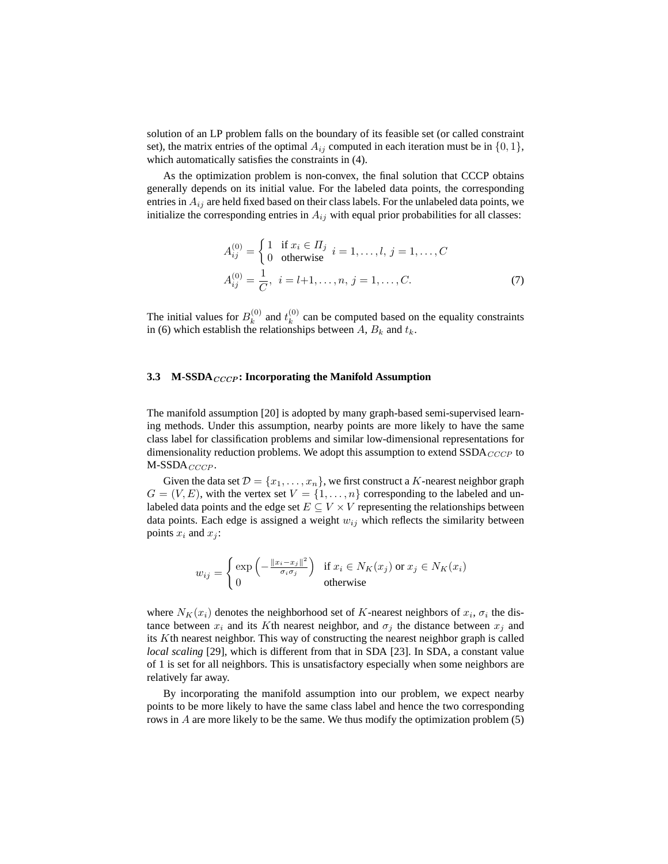solution of an LP problem falls on the boundary of its feasible set (or called constraint set), the matrix entries of the optimal  $A_{ij}$  computed in each iteration must be in  $\{0, 1\}$ , which automatically satisfies the constraints in (4).

As the optimization problem is non-convex, the final solution that CCCP obtains generally depends on its initial value. For the labeled data points, the corresponding entries in  $A_{ij}$  are held fixed based on their class labels. For the unlabeled data points, we initialize the corresponding entries in  $A_{ij}$  with equal prior probabilities for all classes:

$$
A_{ij}^{(0)} = \begin{cases} 1 & \text{if } x_i \in \Pi_j \\ 0 & \text{otherwise} \end{cases} i = 1, ..., l, j = 1, ..., C
$$
  

$$
A_{ij}^{(0)} = \frac{1}{C}, i = l+1, ..., n, j = 1, ..., C.
$$
 (7)

The initial values for  $B_k^{(0)}$  $k^{(0)}$  and  $t^{(0)}_k$  $k<sup>(0)</sup>$  can be computed based on the equality constraints in (6) which establish the relationships between A,  $B_k$  and  $t_k$ .

#### **3.3** M-SSDA<sub>CCCP</sub>: Incorporating the Manifold Assumption

The manifold assumption [20] is adopted by many graph-based semi-supervised learning methods. Under this assumption, nearby points are more likely to have the same class label for classification problems and similar low-dimensional representations for dimensionality reduction problems. We adopt this assumption to extend  $SSDA_{CCCP}$  to  $M-SSDA_{CCCP}$ .

Given the data set  $\mathcal{D} = \{x_1, \ldots, x_n\}$ , we first construct a K-nearest neighbor graph  $G = (V, E)$ , with the vertex set  $V = \{1, \ldots, n\}$  corresponding to the labeled and unlabeled data points and the edge set  $E \subseteq V \times V$  representing the relationships between data points. Each edge is assigned a weight  $w_{ij}$  which reflects the similarity between points  $x_i$  and  $x_j$ :

$$
w_{ij} = \begin{cases} \exp\left(-\frac{\|x_i - x_j\|^2}{\sigma_i \sigma_j}\right) & \text{if } x_i \in N_K(x_j) \text{ or } x_j \in N_K(x_i) \\ 0 & \text{otherwise} \end{cases}
$$

where  $N_K(x_i)$  denotes the neighborhood set of K-nearest neighbors of  $x_i$ ,  $\sigma_i$  the distance between  $x_i$  and its Kth nearest neighbor, and  $\sigma_j$  the distance between  $x_j$  and its Kth nearest neighbor. This way of constructing the nearest neighbor graph is called *local scaling* [29], which is different from that in SDA [23]. In SDA, a constant value of 1 is set for all neighbors. This is unsatisfactory especially when some neighbors are relatively far away.

By incorporating the manifold assumption into our problem, we expect nearby points to be more likely to have the same class label and hence the two corresponding rows in A are more likely to be the same. We thus modify the optimization problem (5)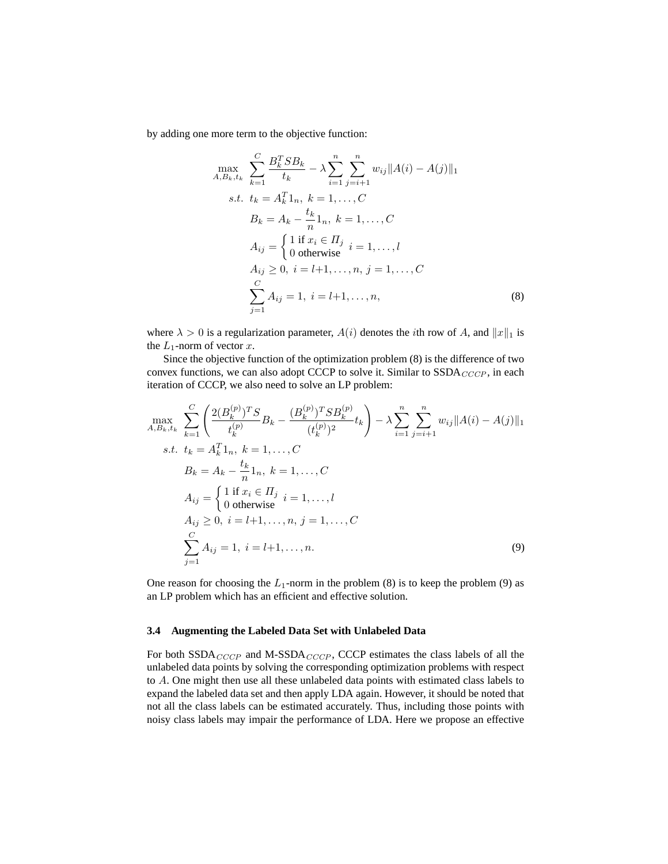by adding one more term to the objective function:

$$
\max_{A,B_k,t_k} \sum_{k=1}^{C} \frac{B_k^T SB_k}{t_k} - \lambda \sum_{i=1}^{n} \sum_{j=i+1}^{n} w_{ij} ||A(i) - A(j)||_1
$$
  
s.t.  $t_k = A_k^T 1_n, k = 1, ..., C$   
 $B_k = A_k - \frac{t_k}{n} 1_n, k = 1, ..., C$   
 $A_{ij} = \begin{cases} 1 \text{ if } x_i \in H_j \text{ } i = 1, ..., l \\ 0 \text{ otherwise} \end{cases}$   
 $A_{ij} \ge 0, i = l+1, ..., n, j = 1, ..., C$   
 $\sum_{j=1}^{C} A_{ij} = 1, i = l+1, ..., n,$  (8)

where  $\lambda > 0$  is a regularization parameter,  $A(i)$  denotes the *i*th row of A, and  $||x||_1$  is the  $L_1$ -norm of vector  $x$ .

Since the objective function of the optimization problem (8) is the difference of two convex functions, we can also adopt CCCP to solve it. Similar to  $SSDA_{CCCP}$ , in each iteration of CCCP, we also need to solve an LP problem:

$$
\max_{A,B_k,t_k} \sum_{k=1}^{C} \left( \frac{2(B_k^{(p)})^T S}{t_k^{(p)}} B_k - \frac{(B_k^{(p)})^T S B_k^{(p)}}{(t_k^{(p)})^2} t_k \right) - \lambda \sum_{i=1}^{n} \sum_{j=i+1}^{n} w_{ij} \|A(i) - A(j)\|_1
$$
  
s.t.  $t_k = A_k^T 1_n, k = 1, ..., C$   
 $B_k = A_k - \frac{t_k}{n} 1_n, k = 1, ..., C$   
 $A_{ij} = \begin{cases} 1 \text{ if } x_i \in \Pi_j \\ 0 \text{ otherwise} \end{cases} i = 1, ..., l$   
 $A_{ij} \ge 0, i = l+1, ..., n, j = 1, ..., C$   
 $\sum_{j=1}^{C} A_{ij} = 1, i = l+1, ..., n.$  (9)

One reason for choosing the  $L_1$ -norm in the problem (8) is to keep the problem (9) as an LP problem which has an efficient and effective solution.

#### **3.4 Augmenting the Labeled Data Set with Unlabeled Data**

For both  $SSDA_{CCCP}$  and M-SSDA<sub>CCCP</sub>, CCCP estimates the class labels of all the unlabeled data points by solving the corresponding optimization problems with respect to A. One might then use all these unlabeled data points with estimated class labels to expand the labeled data set and then apply LDA again. However, it should be noted that not all the class labels can be estimated accurately. Thus, including those points with noisy class labels may impair the performance of LDA. Here we propose an effective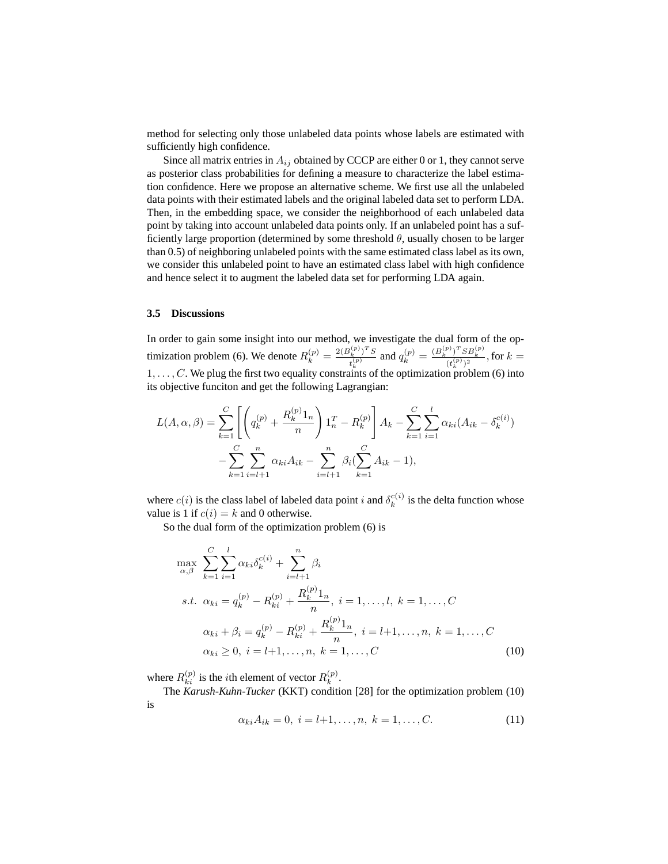method for selecting only those unlabeled data points whose labels are estimated with sufficiently high confidence.

Since all matrix entries in  $A_{ij}$  obtained by CCCP are either 0 or 1, they cannot serve as posterior class probabilities for defining a measure to characterize the label estimation confidence. Here we propose an alternative scheme. We first use all the unlabeled data points with their estimated labels and the original labeled data set to perform LDA. Then, in the embedding space, we consider the neighborhood of each unlabeled data point by taking into account unlabeled data points only. If an unlabeled point has a sufficiently large proportion (determined by some threshold  $\theta$ , usually chosen to be larger than 0.5) of neighboring unlabeled points with the same estimated class label as its own, we consider this unlabeled point to have an estimated class label with high confidence and hence select it to augment the labeled data set for performing LDA again.

#### **3.5 Discussions**

In order to gain some insight into our method, we investigate the dual form of the optimization problem (6). We denote  $R_k^{(p)} = \frac{2(B_k^{(p)})^T S}{t^{(p)}}$  $\frac{t_k^{(p)})^TS}{t_k^{(p)}}$  and  $q_k^{(p)} = \frac{(B_k^{(p)})^TSB_k^{(p)}}{(t_k^{(p)})^2}$ , for  $k =$  $1, \ldots, C$ . We plug the first two equality constraints of the optimization problem (6) into its objective funciton and get the following Lagrangian:

$$
L(A, \alpha, \beta) = \sum_{k=1}^{C} \left[ \left( q_k^{(p)} + \frac{R_k^{(p)} 1_n}{n} \right) 1_n^T - R_k^{(p)} \right] A_k - \sum_{k=1}^{C} \sum_{i=1}^{l} \alpha_{ki} (A_{ik} - \delta_k^{c(i)})
$$

$$
- \sum_{k=1}^{C} \sum_{i=l+1}^{n} \alpha_{ki} A_{ik} - \sum_{i=l+1}^{n} \beta_i (\sum_{k=1}^{C} A_{ik} - 1),
$$

where  $c(i)$  is the class label of labeled data point i and  $\delta_k^{c(i)}$  $k_k^{c(i)}$  is the delta function whose value is 1 if  $c(i) = k$  and 0 otherwise.

So the dual form of the optimization problem (6) is

$$
\max_{\alpha,\beta} \sum_{k=1}^{C} \sum_{i=1}^{l} \alpha_{ki} \delta_{k}^{c(i)} + \sum_{i=l+1}^{n} \beta_{i}
$$
\n*s.t.*  $\alpha_{ki} = q_{k}^{(p)} - R_{ki}^{(p)} + \frac{R_{k}^{(p)} 1_{n}}{n}, i = 1, ..., l, k = 1, ..., C$   
\n $\alpha_{ki} + \beta_{i} = q_{k}^{(p)} - R_{ki}^{(p)} + \frac{R_{k}^{(p)} 1_{n}}{n}, i = l+1, ..., n, k = 1, ..., C$   
\n $\alpha_{ki} \geq 0, i = l+1, ..., n, k = 1, ..., C$  (10)

where  $R_{ki}^{(p)}$  is the *i*th element of vector  $R_k^{(p)}$  $\mathbf{r}^{(p)}$ .

The *Karush-Kuhn-Tucker* (KKT) condition [28] for the optimization problem (10) is

$$
\alpha_{ki} A_{ik} = 0, \ i = l+1, \dots, n, \ k = 1, \dots, C. \tag{11}
$$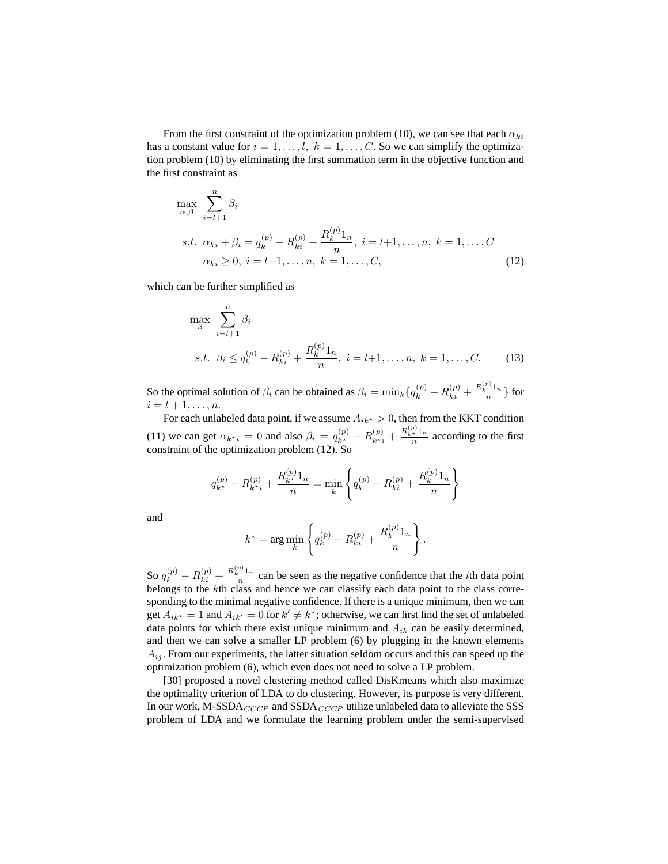From the first constraint of the optimization problem (10), we can see that each  $\alpha_{ki}$ has a constant value for  $i = 1, \ldots, l$ ,  $k = 1, \ldots, C$ . So we can simplify the optimization problem (10) by eliminating the first summation term in the objective function and the first constraint as

$$
\max_{\alpha,\beta} \sum_{i=l+1}^{n} \beta_i
$$
  
s.t.  $\alpha_{ki} + \beta_i = q_k^{(p)} - R_{ki}^{(p)} + \frac{R_k^{(p)} 1_n}{n}, i = l+1, ..., n, k = 1, ..., C$   
 $\alpha_{ki} \ge 0, i = l+1, ..., n, k = 1, ..., C,$  (12)

which can be further simplified as

$$
\max_{\beta} \sum_{i=l+1}^{n} \beta_i
$$
  
s.t.  $\beta_i \le q_k^{(p)} - R_{ki}^{(p)} + \frac{R_k^{(p)} 1_n}{n}, i = l+1, ..., n, k = 1, ..., C.$  (13)

So the optimal solution of  $\beta_i$  can be obtained as  $\beta_i = \min_k \{q_k^{(p)} - R_{ki}^{(p)} + \frac{R_k^{(p)} 1_n}{n} \}$  $\frac{n}{n}$  for  $i = l + 1, \ldots, n$ .

For each unlabeled data point, if we assume  $A_{ik^*} > 0$ , then from the KKT condition (11) we can get  $\alpha_{k+i} = 0$  and also  $\beta_i = q_{k^*}^{(p)} - R_{k+i}^{(p)} + \frac{R_{k+i}^{(p)} 1_n}{n}$  according to the first constraint of the optimization problem (12). So

$$
q_{k^*}^{(p)} - R_{k^*i}^{(p)} + \frac{R_{k^*}^{(p)}1_n}{n} = \min_k \left\{ q_k^{(p)} - R_{ki}^{(p)} + \frac{R_k^{(p)}1_n}{n} \right\}
$$

and

$$
k^* = \arg\min_{k} \left\{ q_k^{(p)} - R_{ki}^{(p)} + \frac{R_k^{(p)} 1_n}{n} \right\}.
$$

So  $q_k^{(p)} - R_{ki}^{(p)} + \frac{R_k^{(p)} 1_n}{n}$  $\frac{n}{n}$  can be seen as the negative confidence that the *i*th data point belongs to the kth class and hence we can classify each data point to the class corresponding to the minimal negative confidence. If there is a unique minimum, then we can get  $A_{ik^*} = 1$  and  $A_{ik'} = 0$  for  $k' \neq k^*$ ; otherwise, we can first find the set of unlabeled data points for which there exist unique minimum and  $A_{ik}$  can be easily determined, and then we can solve a smaller LP problem (6) by plugging in the known elements  $A_{ij}$ . From our experiments, the latter situation seldom occurs and this can speed up the optimization problem (6), which even does not need to solve a LP problem.

[30] proposed a novel clustering method called DisKmeans which also maximize the optimality criterion of LDA to do clustering. However, its purpose is very different. In our work, M-SSDA $_{CCCP}$  and SSDA $_{CCCP}$  utilize unlabeled data to alleviate the SSS problem of LDA and we formulate the learning problem under the semi-supervised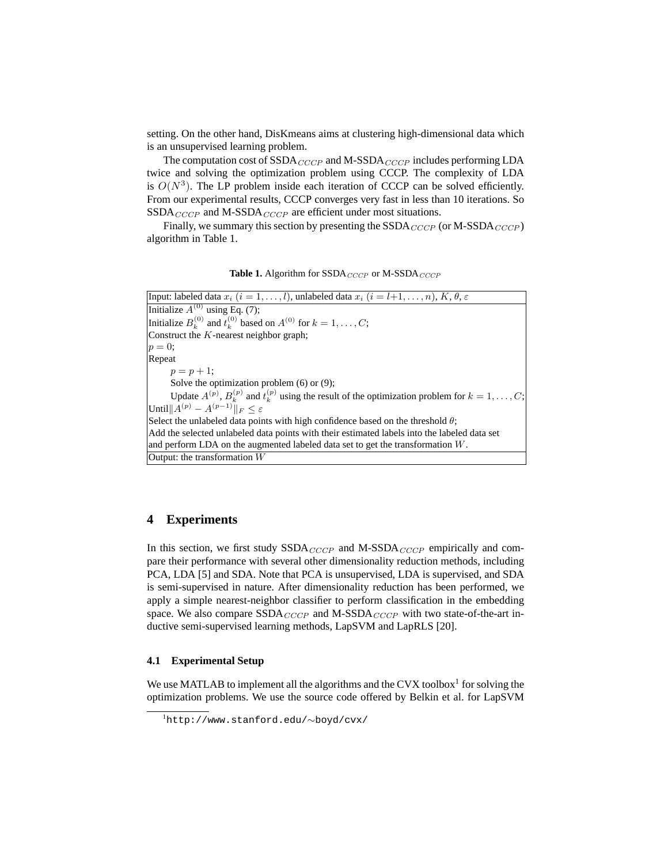setting. On the other hand, DisKmeans aims at clustering high-dimensional data which is an unsupervised learning problem.

The computation cost of  $SSDA_{CCCP}$  and M-SSDA $_{CCCP}$  includes performing LDA twice and solving the optimization problem using CCCP. The complexity of LDA is  $O(N^3)$ . The LP problem inside each iteration of CCCP can be solved efficiently. From our experimental results, CCCP converges very fast in less than 10 iterations. So  $SSDA_{CCCP}$  and M-SSDA<sub>CCCP</sub> are efficient under most situations.

Finally, we summary this section by presenting the  $SSDA_{CCCP}$  (or M-SSDA<sub>CCCP</sub>) algorithm in Table 1.

**Table 1.** Algorithm for  $SSDA_{CCCP}$  or M-SSDA $_{CCCP}$ 

Input: labeled data  $x_i$   $(i = 1, \ldots, l)$ , unlabeled data  $x_i$   $(i = l+1, \ldots, n)$ ,  $K, \theta, \epsilon$ Initialize  $A^{(0)}$  using Eq. (7); Initialize  $B_k^{(0)}$  and  $t_k^{(0)}$  based on  $A^{(0)}$  for  $k = 1, \ldots, C$ ; Construct the  $K$ -nearest neighbor graph;  $p=0;$ Repeat  $p = p + 1;$ Solve the optimization problem (6) or (9); Update  $A^{(p)}$ ,  $B_k^{(p)}$  and  $t_k^{(p)}$  using the result of the optimization problem for  $k = 1, \ldots, C$ ; Until $||A^{(p)} - A^{(p-1)}||_F \leq \varepsilon$ Select the unlabeled data points with high confidence based on the threshold  $\theta$ ; Add the selected unlabeled data points with their estimated labels into the labeled data set and perform LDA on the augmented labeled data set to get the transformation W. Output: the transformation W

## **4 Experiments**

In this section, we first study  $SSDA_{CCCP}$  and M-SSDA<sub>CCCP</sub> empirically and compare their performance with several other dimensionality reduction methods, including PCA, LDA [5] and SDA. Note that PCA is unsupervised, LDA is supervised, and SDA is semi-supervised in nature. After dimensionality reduction has been performed, we apply a simple nearest-neighbor classifier to perform classification in the embedding space. We also compare SSDA<sub>CCCP</sub> and M-SSDA<sub>CCCP</sub> with two state-of-the-art inductive semi-supervised learning methods, LapSVM and LapRLS [20].

#### **4.1 Experimental Setup**

We use MATLAB to implement all the algorithms and the CVX toolbox $<sup>1</sup>$  for solving the</sup> optimization problems. We use the source code offered by Belkin et al. for LapSVM

<sup>1</sup>http://www.stanford.edu/∼boyd/cvx/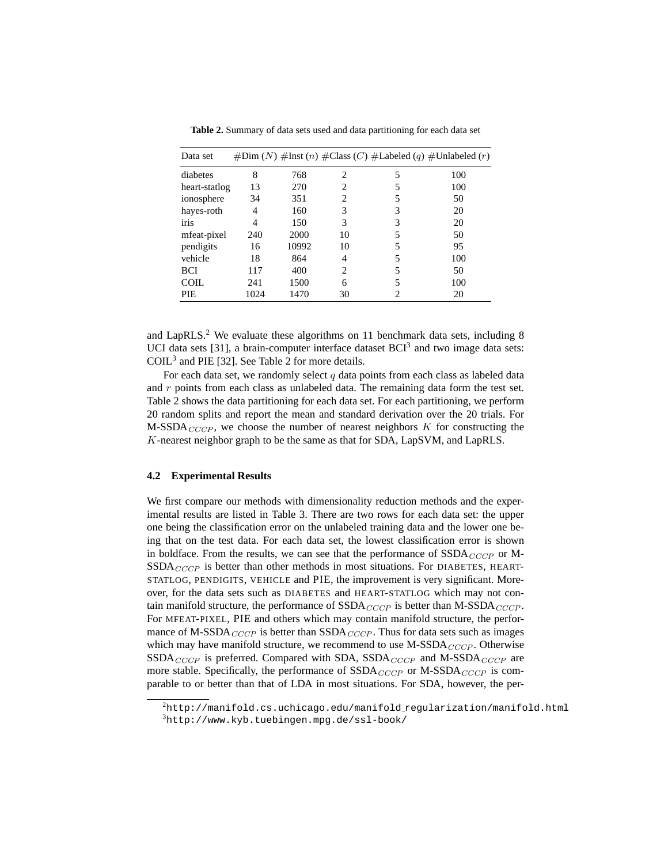| Data set      |      |       |                |   | $\#Dim(N)$ #Inst (n) $\#Class(C)$ #Labeled (q) #Unlabeled (r) |
|---------------|------|-------|----------------|---|---------------------------------------------------------------|
| diabetes      | 8    | 768   | $\mathfrak{D}$ | 5 | 100                                                           |
| heart-statlog | 13   | 270   | 2              | 5 | 100                                                           |
| ionosphere    | 34   | 351   | 2              | 5 | 50                                                            |
| hayes-roth    | 4    | 160   | 3              | 3 | 20                                                            |
| iris          | 4    | 150   | 3              | 3 | 20                                                            |
| mfeat-pixel   | 240  | 2000  | 10             | 5 | 50                                                            |
| pendigits     | 16   | 10992 | 10             | 5 | 95                                                            |
| vehicle       | 18   | 864   | 4              | 5 | 100                                                           |
| <b>BCI</b>    | 117  | 400   | $\mathfrak{D}$ | 5 | 50                                                            |
| <b>COIL</b>   | 241  | 1500  | 6              | 5 | 100                                                           |
| <b>PIE</b>    | 1024 | 1470  | 30             | 2 | 20                                                            |

**Table 2.** Summary of data sets used and data partitioning for each data set

and LapRLS.<sup>2</sup> We evaluate these algorithms on 11 benchmark data sets, including 8 UCI data sets [31], a brain-computer interface dataset  $BCI<sup>3</sup>$  and two image data sets: COIL<sup>3</sup> and PIE [32]. See Table 2 for more details.

For each data set, we randomly select  $q$  data points from each class as labeled data and  $r$  points from each class as unlabeled data. The remaining data form the test set. Table 2 shows the data partitioning for each data set. For each partitioning, we perform 20 random splits and report the mean and standard derivation over the 20 trials. For M-SSDA<sub>CCCP</sub>, we choose the number of nearest neighbors  $K$  for constructing the K-nearest neighbor graph to be the same as that for SDA, LapSVM, and LapRLS.

#### **4.2 Experimental Results**

We first compare our methods with dimensionality reduction methods and the experimental results are listed in Table 3. There are two rows for each data set: the upper one being the classification error on the unlabeled training data and the lower one being that on the test data. For each data set, the lowest classification error is shown in boldface. From the results, we can see that the performance of  $SSDA_{CCCP}$  or M- $SSDA_{CCCP}$  is better than other methods in most situations. For DIABETES, HEART-STATLOG, PENDIGITS, VEHICLE and PIE, the improvement is very significant. Moreover, for the data sets such as DIABETES and HEART-STATLOG which may not contain manifold structure, the performance of  $SSDA_{CCCP}$  is better than M-SSDA $_{CCCP}$ . For MFEAT-PIXEL, PIE and others which may contain manifold structure, the performance of M-SSDA $_{CCCP}$  is better than SSDA $_{CCCP}$ . Thus for data sets such as images which may have manifold structure, we recommend to use  $M-SSDA_{CCCP}$ . Otherwise  $SSDA_{CCCP}$  is preferred. Compared with SDA,  $SSDA_{CCCP}$  and M-SSDA<sub>CCCP</sub> are more stable. Specifically, the performance of  $SSDA_{CCCP}$  or M-SSDA<sub>CCCP</sub> is comparable to or better than that of LDA in most situations. For SDA, however, the per-

 $2$ http://manifold.cs.uchicago.edu/manifold\_regularization/manifold.html  $3$ http://www.kyb.tuebingen.mpg.de/ssl-book/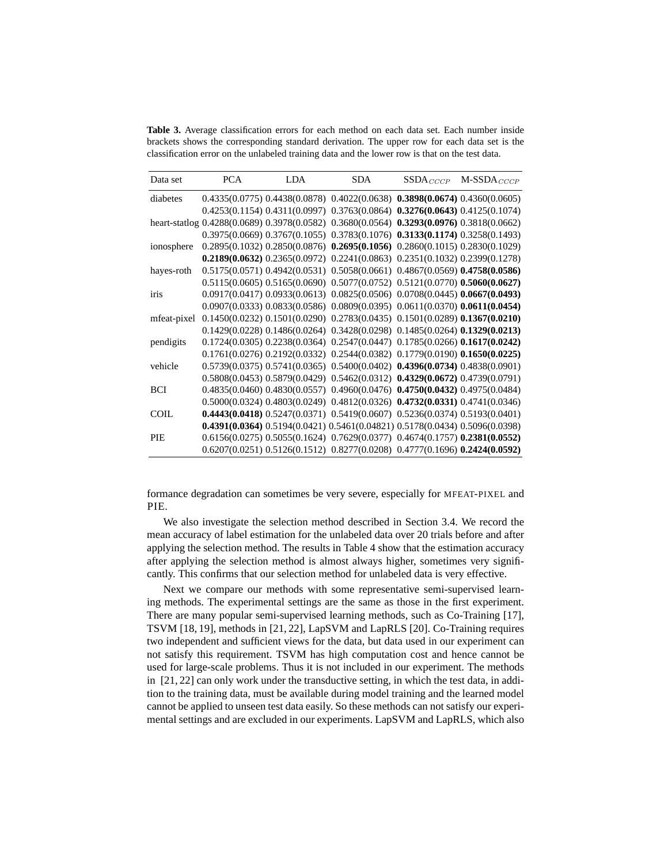**Table 3.** Average classification errors for each method on each data set. Each number inside brackets shows the corresponding standard derivation. The upper row for each data set is the classification error on the unlabeled training data and the lower row is that on the test data.

| Data set    | <b>PCA</b> | <b>LDA</b> | <b>SDA</b>                                                                               | $SSDA_{CCCP}$ | $M-SSDA_{CCCP}$ |
|-------------|------------|------------|------------------------------------------------------------------------------------------|---------------|-----------------|
| diabetes    |            |            | $0.4335(0.0775)$ $0.4438(0.0878)$ $0.4022(0.0638)$ $0.3898(0.0674)$ $0.4360(0.0605)$     |               |                 |
|             |            |            | $0.4253(0.1154)$ $0.4311(0.0997)$ $0.3763(0.0864)$ $0.3276(0.0643)$ $0.4125(0.1074)$     |               |                 |
|             |            |            | heart-statlog 0.4288(0.0689) 0.3978(0.0582) 0.3680(0.0564) 0.3293(0.0976) 0.3818(0.0662) |               |                 |
|             |            |            | 0.3975(0.0669) 0.3767(0.1055) 0.3783(0.1076) 0.3133(0.1174) 0.3258(0.1493)               |               |                 |
| ionosphere  |            |            | $0.2895(0.1032)$ $0.2850(0.0876)$ $0.2695(0.1056)$ $0.2860(0.1015)$ $0.2830(0.1029)$     |               |                 |
|             |            |            | $0.2189(0.0632)$ $0.2365(0.0972)$ $0.2241(0.0863)$ $0.2351(0.1032)$ $0.2399(0.1278)$     |               |                 |
| hayes-roth  |            |            | 0.5175(0.0571) 0.4942(0.0531) 0.5058(0.0661) 0.4867(0.0569) 0.4758(0.0586)               |               |                 |
|             |            |            | $0.5115(0.0605)$ $0.5165(0.0690)$ $0.5077(0.0752)$ $0.5121(0.0770)$ $0.5060(0.0627)$     |               |                 |
| iris        |            |            | 0.0917(0.0417) 0.0933(0.0613) 0.0825(0.0506) 0.0708(0.0445) 0.0667(0.0493)               |               |                 |
|             |            |            | $0.0907(0.0333)$ $0.0833(0.0586)$ $0.0809(0.0395)$ $0.0611(0.0370)$ $0.0611(0.0454)$     |               |                 |
| mfeat-pixel |            |            | $0.1450(0.0232)$ $0.1501(0.0290)$ $0.2783(0.0435)$ $0.1501(0.0289)$ $0.1367(0.0210)$     |               |                 |
|             |            |            | $0.1429(0.0228)$ $0.1486(0.0264)$ $0.3428(0.0298)$ $0.1485(0.0264)$ $0.1329(0.0213)$     |               |                 |
| pendigits   |            |            | $0.1724(0.0305)$ $0.2238(0.0364)$ $0.2547(0.0447)$ $0.1785(0.0266)$ $0.1617(0.0242)$     |               |                 |
|             |            |            | $0.1761(0.0276)$ $0.2192(0.0332)$ $0.2544(0.0382)$ $0.1779(0.0190)$ $0.1650(0.0225)$     |               |                 |
| vehicle     |            |            | $0.5739(0.0375)$ $0.5741(0.0365)$ $0.5400(0.0402)$ $0.4396(0.0734)$ $0.4838(0.0901)$     |               |                 |
|             |            |            | $0.5808(0.0453)$ $0.5879(0.0429)$ $0.5462(0.0312)$ $0.4329(0.0672)$ $0.4739(0.0791)$     |               |                 |
| <b>BCI</b>  |            |            | $0.4835(0.0460)$ $0.4830(0.0557)$ $0.4960(0.0476)$ $0.4750(0.0432)$ $0.4975(0.0484)$     |               |                 |
|             |            |            | $0.5000(0.0324)$ $0.4803(0.0249)$ $0.4812(0.0326)$ $0.4732(0.0331)$ $0.4741(0.0346)$     |               |                 |
| <b>COIL</b> |            |            | $0.4443(0.0418)$ $0.5247(0.0371)$ $0.5419(0.0607)$ $0.5236(0.0374)$ $0.5193(0.0401)$     |               |                 |
|             |            |            | 0.4391(0.0364) 0.5194(0.0421) 0.5461(0.04821) 0.5178(0.0434) 0.5096(0.0398)              |               |                 |
| PIE         |            |            | $0.6156(0.0275)$ $0.5055(0.1624)$ $0.7629(0.0377)$ $0.4674(0.1757)$ $0.2381(0.0552)$     |               |                 |
|             |            |            | $0.6207(0.0251)$ $0.5126(0.1512)$ $0.8277(0.0208)$ $0.4777(0.1696)$ $0.2424(0.0592)$     |               |                 |

formance degradation can sometimes be very severe, especially for MFEAT-PIXEL and PIE.

We also investigate the selection method described in Section 3.4. We record the mean accuracy of label estimation for the unlabeled data over 20 trials before and after applying the selection method. The results in Table 4 show that the estimation accuracy after applying the selection method is almost always higher, sometimes very significantly. This confirms that our selection method for unlabeled data is very effective.

Next we compare our methods with some representative semi-supervised learning methods. The experimental settings are the same as those in the first experiment. There are many popular semi-supervised learning methods, such as Co-Training [17], TSVM [18, 19], methods in [21, 22], LapSVM and LapRLS [20]. Co-Training requires two independent and sufficient views for the data, but data used in our experiment can not satisfy this requirement. TSVM has high computation cost and hence cannot be used for large-scale problems. Thus it is not included in our experiment. The methods in [21, 22] can only work under the transductive setting, in which the test data, in addition to the training data, must be available during model training and the learned model cannot be applied to unseen test data easily. So these methods can not satisfy our experimental settings and are excluded in our experiments. LapSVM and LapRLS, which also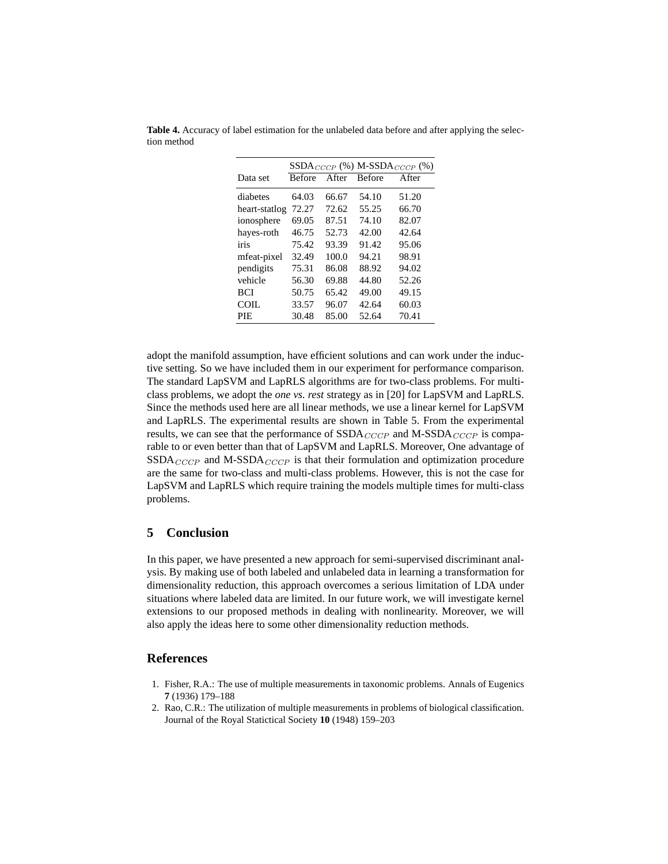|               | $SSDA_{CCCP}$ (%) M-SSDA <sub>CCCP</sub> (%) |       |               |       |
|---------------|----------------------------------------------|-------|---------------|-------|
| Data set      | <b>Before</b>                                | After | <b>Before</b> | After |
| diabetes      | 64.03                                        | 66.67 | 54.10         | 51.20 |
| heart-statlog | 72.27                                        | 72.62 | 55.25         | 66.70 |
| ionosphere    | 69.05                                        | 87.51 | 74.10         | 82.07 |
| hayes-roth    | 46.75                                        | 52.73 | 42.00         | 42.64 |
| iris          | 75.42                                        | 93.39 | 91.42         | 95.06 |
| mfeat-pixel   | 32.49                                        | 100.0 | 94.21         | 98.91 |
| pendigits     | 75.31                                        | 86.08 | 88.92         | 94.02 |
| vehicle       | 56.30                                        | 69.88 | 44.80         | 52.26 |
| <b>BCI</b>    | 50.75                                        | 65.42 | 49.00         | 49.15 |
| COIL.         | 33.57                                        | 96.07 | 42.64         | 60.03 |
| PIE           | 30.48                                        | 85.00 | 52.64         | 70.41 |

**Table 4.** Accuracy of label estimation for the unlabeled data before and after applying the selection method

adopt the manifold assumption, have efficient solutions and can work under the inductive setting. So we have included them in our experiment for performance comparison. The standard LapSVM and LapRLS algorithms are for two-class problems. For multiclass problems, we adopt the *one vs. rest* strategy as in [20] for LapSVM and LapRLS. Since the methods used here are all linear methods, we use a linear kernel for LapSVM and LapRLS. The experimental results are shown in Table 5. From the experimental results, we can see that the performance of  $SSDA_{CCCP}$  and M-SSDA $_{CCCP}$  is comparable to or even better than that of LapSVM and LapRLS. Moreover, One advantage of  $SSDA_{CCCP}$  and M-SSDA<sub>CCCP</sub> is that their formulation and optimization procedure are the same for two-class and multi-class problems. However, this is not the case for LapSVM and LapRLS which require training the models multiple times for multi-class problems.

## **5 Conclusion**

In this paper, we have presented a new approach for semi-supervised discriminant analysis. By making use of both labeled and unlabeled data in learning a transformation for dimensionality reduction, this approach overcomes a serious limitation of LDA under situations where labeled data are limited. In our future work, we will investigate kernel extensions to our proposed methods in dealing with nonlinearity. Moreover, we will also apply the ideas here to some other dimensionality reduction methods.

#### **References**

- 1. Fisher, R.A.: The use of multiple measurements in taxonomic problems. Annals of Eugenics **7** (1936) 179–188
- 2. Rao, C.R.: The utilization of multiple measurements in problems of biological classification. Journal of the Royal Statictical Society **10** (1948) 159–203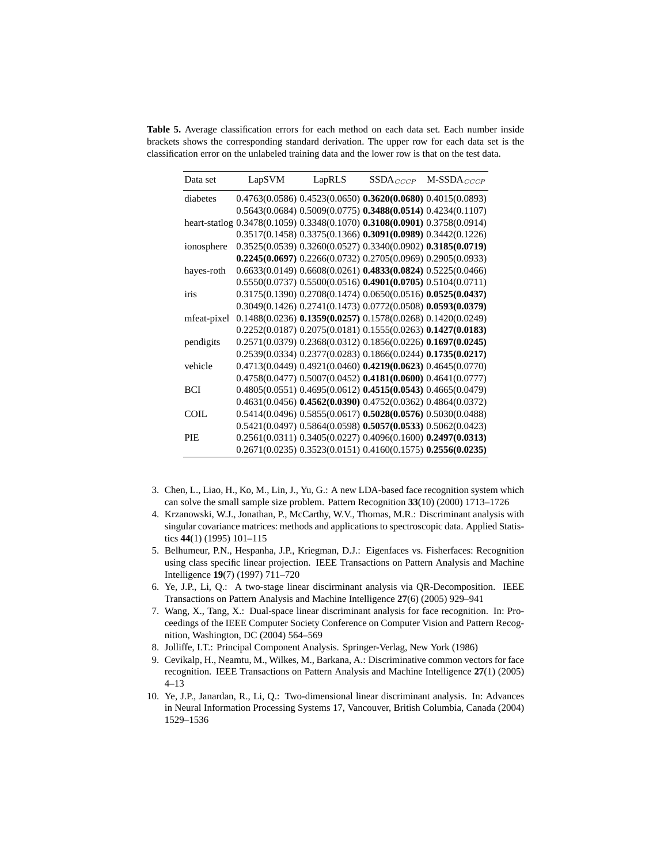**Table 5.** Average classification errors for each method on each data set. Each number inside brackets shows the corresponding standard derivation. The upper row for each data set is the classification error on the unlabeled training data and the lower row is that on the test data.

| Data set    | LapSVM | LapRLS | $SSDA_{CCCP}$ | $M-SSDA_{CCCP}$                                                           |
|-------------|--------|--------|---------------|---------------------------------------------------------------------------|
| diabetes    |        |        |               | $0.4763(0.0586)$ $0.4523(0.0650)$ $0.3620(0.0680)$ $0.4015(0.0893)$       |
|             |        |        |               | 0.5643(0.0684) 0.5009(0.0775) 0.3488(0.0514) 0.4234(0.1107)               |
|             |        |        |               | heart-statlog 0.3478(0.1059) 0.3348(0.1070) 0.3108(0.0901) 0.3758(0.0914) |
|             |        |        |               | $0.3517(0.1458)$ $0.3375(0.1366)$ $0.3091(0.0989)$ $0.3442(0.1226)$       |
| ionosphere  |        |        |               | $0.3525(0.0539)$ $0.3260(0.0527)$ $0.3340(0.0902)$ $0.3185(0.0719)$       |
|             |        |        |               | $0.2245(0.0697) 0.2266(0.0732) 0.2705(0.0969) 0.2905(0.0933)$             |
| hayes-roth  |        |        |               | $0.6633(0.0149)$ $0.6608(0.0261)$ $0.4833(0.0824)$ $0.5225(0.0466)$       |
|             |        |        |               | $0.5550(0.0737)$ $0.5500(0.0516)$ $0.4901(0.0705)$ $0.5104(0.0711)$       |
| iris        |        |        |               | 0.3175(0.1390) 0.2708(0.1474) 0.0650(0.0516) 0.0525(0.0437)               |
|             |        |        |               | 0.3049(0.1426) 0.2741(0.1473) 0.0772(0.0508) 0.0593(0.0379)               |
| mfeat-pixel |        |        |               | $0.1488(0.0236)$ $0.1359(0.0257)$ $0.1578(0.0268)$ $0.1420(0.0249)$       |
|             |        |        |               | $0.2252(0.0187)$ $0.2075(0.0181)$ $0.1555(0.0263)$ $0.1427(0.0183)$       |
| pendigits   |        |        |               | 0.2571(0.0379) 0.2368(0.0312) 0.1856(0.0226) 0.1697(0.0245)               |
|             |        |        |               | $0.2539(0.0334)$ $0.2377(0.0283)$ $0.1866(0.0244)$ $0.1735(0.0217)$       |
| vehicle     |        |        |               | $0.4713(0.0449)$ $0.4921(0.0460)$ $0.4219(0.0623)$ $0.4645(0.0770)$       |
|             |        |        |               | $0.4758(0.0477)$ $0.5007(0.0452)$ $0.4181(0.0600)$ $0.4641(0.0777)$       |
| <b>BCI</b>  |        |        |               | 0.4805(0.0551) 0.4695(0.0612) 0.4515(0.0543) 0.4665(0.0479)               |
|             |        |        |               | $0.4631(0.0456)$ $0.4562(0.0390)$ $0.4752(0.0362)$ $0.4864(0.0372)$       |
| <b>COIL</b> |        |        |               | $0.5414(0.0496)$ $0.5855(0.0617)$ $0.5028(0.0576)$ $0.5030(0.0488)$       |
|             |        |        |               | $0.5421(0.0497)$ $0.5864(0.0598)$ $0.5057(0.0533)$ $0.5062(0.0423)$       |
| <b>PIE</b>  |        |        |               | $0.2561(0.0311)$ $0.3405(0.0227)$ $0.4096(0.1600)$ $0.2497(0.0313)$       |
|             |        |        |               | $0.2671(0.0235)$ $0.3523(0.0151)$ $0.4160(0.1575)$ $0.2556(0.0235)$       |

- 3. Chen, L., Liao, H., Ko, M., Lin, J., Yu, G.: A new LDA-based face recognition system which can solve the small sample size problem. Pattern Recognition **33**(10) (2000) 1713–1726
- 4. Krzanowski, W.J., Jonathan, P., McCarthy, W.V., Thomas, M.R.: Discriminant analysis with singular covariance matrices: methods and applications to spectroscopic data. Applied Statistics **44**(1) (1995) 101–115
- 5. Belhumeur, P.N., Hespanha, J.P., Kriegman, D.J.: Eigenfaces vs. Fisherfaces: Recognition using class specific linear projection. IEEE Transactions on Pattern Analysis and Machine Intelligence **19**(7) (1997) 711–720
- 6. Ye, J.P., Li, Q.: A two-stage linear discirminant analysis via QR-Decomposition. IEEE Transactions on Pattern Analysis and Machine Intelligence **27**(6) (2005) 929–941
- 7. Wang, X., Tang, X.: Dual-space linear discriminant analysis for face recognition. In: Proceedings of the IEEE Computer Society Conference on Computer Vision and Pattern Recognition, Washington, DC (2004) 564–569
- 8. Jolliffe, I.T.: Principal Component Analysis. Springer-Verlag, New York (1986)
- 9. Cevikalp, H., Neamtu, M., Wilkes, M., Barkana, A.: Discriminative common vectors for face recognition. IEEE Transactions on Pattern Analysis and Machine Intelligence **27**(1) (2005) 4–13
- 10. Ye, J.P., Janardan, R., Li, Q.: Two-dimensional linear discriminant analysis. In: Advances in Neural Information Processing Systems 17, Vancouver, British Columbia, Canada (2004) 1529–1536